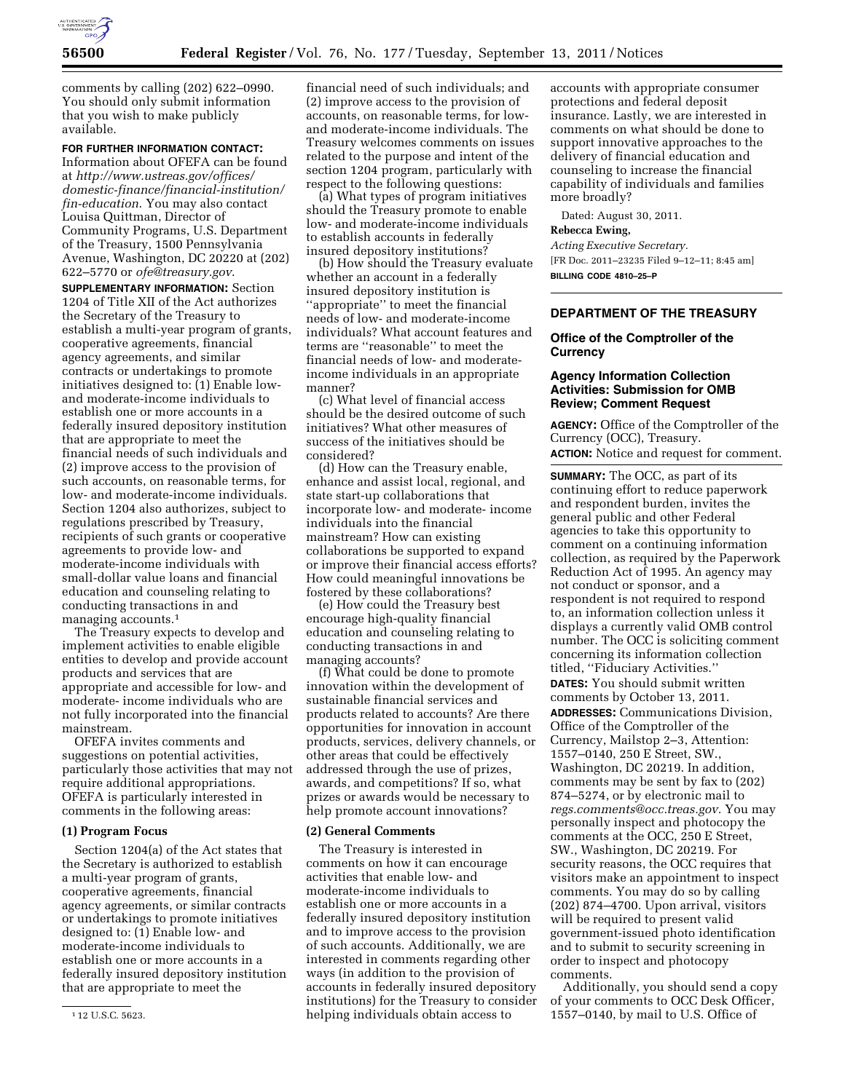

comments by calling (202) 622–0990. You should only submit information that you wish to make publicly available.

## **FOR FURTHER INFORMATION CONTACT:**

Information about OFEFA can be found at *[http://www.ustreas.gov/offices/](http://www.ustreas.gov/offices/domestic-finance/financial-institution/fin-education) [domestic-finance/financial-institution/](http://www.ustreas.gov/offices/domestic-finance/financial-institution/fin-education) [fin-education](http://www.ustreas.gov/offices/domestic-finance/financial-institution/fin-education)*. You may also contact Louisa Quittman, Director of Community Programs, U.S. Department of the Treasury, 1500 Pennsylvania Avenue, Washington, DC 20220 at (202) 622–5770 or *[ofe@treasury.gov](mailto:ofe@treasury.gov)*.

**SUPPLEMENTARY INFORMATION:** Section 1204 of Title XII of the Act authorizes the Secretary of the Treasury to establish a multi-year program of grants, cooperative agreements, financial agency agreements, and similar contracts or undertakings to promote initiatives designed to: (1) Enable lowand moderate-income individuals to establish one or more accounts in a federally insured depository institution that are appropriate to meet the financial needs of such individuals and (2) improve access to the provision of such accounts, on reasonable terms, for low- and moderate-income individuals. Section 1204 also authorizes, subject to regulations prescribed by Treasury, recipients of such grants or cooperative agreements to provide low- and moderate-income individuals with small-dollar value loans and financial education and counseling relating to conducting transactions in and managing accounts.1

The Treasury expects to develop and implement activities to enable eligible entities to develop and provide account products and services that are appropriate and accessible for low- and moderate- income individuals who are not fully incorporated into the financial mainstream.

OFEFA invites comments and suggestions on potential activities, particularly those activities that may not require additional appropriations. OFEFA is particularly interested in comments in the following areas:

## **(1) Program Focus**

Section 1204(a) of the Act states that the Secretary is authorized to establish a multi-year program of grants, cooperative agreements, financial agency agreements, or similar contracts or undertakings to promote initiatives designed to: (1) Enable low- and moderate-income individuals to establish one or more accounts in a federally insured depository institution that are appropriate to meet the

financial need of such individuals; and (2) improve access to the provision of accounts, on reasonable terms, for lowand moderate-income individuals. The Treasury welcomes comments on issues related to the purpose and intent of the section 1204 program, particularly with respect to the following questions:

(a) What types of program initiatives should the Treasury promote to enable low- and moderate-income individuals to establish accounts in federally insured depository institutions?

(b) How should the Treasury evaluate whether an account in a federally insured depository institution is ''appropriate'' to meet the financial needs of low- and moderate-income individuals? What account features and terms are ''reasonable'' to meet the financial needs of low- and moderateincome individuals in an appropriate manner?

(c) What level of financial access should be the desired outcome of such initiatives? What other measures of success of the initiatives should be considered?

(d) How can the Treasury enable, enhance and assist local, regional, and state start-up collaborations that incorporate low- and moderate- income individuals into the financial mainstream? How can existing collaborations be supported to expand or improve their financial access efforts? How could meaningful innovations be fostered by these collaborations?

(e) How could the Treasury best encourage high-quality financial education and counseling relating to conducting transactions in and managing accounts?

(f) What could be done to promote innovation within the development of sustainable financial services and products related to accounts? Are there opportunities for innovation in account products, services, delivery channels, or other areas that could be effectively addressed through the use of prizes, awards, and competitions? If so, what prizes or awards would be necessary to help promote account innovations?

#### **(2) General Comments**

The Treasury is interested in comments on how it can encourage activities that enable low- and moderate-income individuals to establish one or more accounts in a federally insured depository institution and to improve access to the provision of such accounts. Additionally, we are interested in comments regarding other ways (in addition to the provision of accounts in federally insured depository institutions) for the Treasury to consider helping individuals obtain access to

accounts with appropriate consumer protections and federal deposit insurance. Lastly, we are interested in comments on what should be done to support innovative approaches to the delivery of financial education and counseling to increase the financial capability of individuals and families more broadly?

Dated: August 30, 2011.

# **Rebecca Ewing,**

*Acting Executive Secretary.*  [FR Doc. 2011–23235 Filed 9–12–11; 8:45 am] **BILLING CODE 4810–25–P** 

# **DEPARTMENT OF THE TREASURY**

# **Office of the Comptroller of the Currency**

## **Agency Information Collection Activities: Submission for OMB Review; Comment Request**

**AGENCY:** Office of the Comptroller of the Currency (OCC), Treasury. **ACTION:** Notice and request for comment.

**SUMMARY:** The OCC, as part of its continuing effort to reduce paperwork and respondent burden, invites the general public and other Federal agencies to take this opportunity to comment on a continuing information collection, as required by the Paperwork Reduction Act of 1995. An agency may not conduct or sponsor, and a respondent is not required to respond to, an information collection unless it displays a currently valid OMB control number. The OCC is soliciting comment concerning its information collection titled, ''Fiduciary Activities.'' **DATES:** You should submit written comments by October 13, 2011.

**ADDRESSES:** Communications Division, Office of the Comptroller of the Currency, Mailstop 2–3, Attention: 1557–0140, 250 E Street, SW., Washington, DC 20219. In addition, comments may be sent by fax to (202) 874–5274, or by electronic mail to *[regs.comments@occ.treas.gov.](mailto:regs.comments@occ.treas.gov)* You may personally inspect and photocopy the comments at the OCC, 250 E Street, SW., Washington, DC 20219. For security reasons, the OCC requires that visitors make an appointment to inspect comments. You may do so by calling (202) 874–4700. Upon arrival, visitors will be required to present valid government-issued photo identification and to submit to security screening in order to inspect and photocopy comments.

Additionally, you should send a copy of your comments to OCC Desk Officer, 1557–0140, by mail to U.S. Office of

<sup>1</sup> 12 U.S.C. 5623.